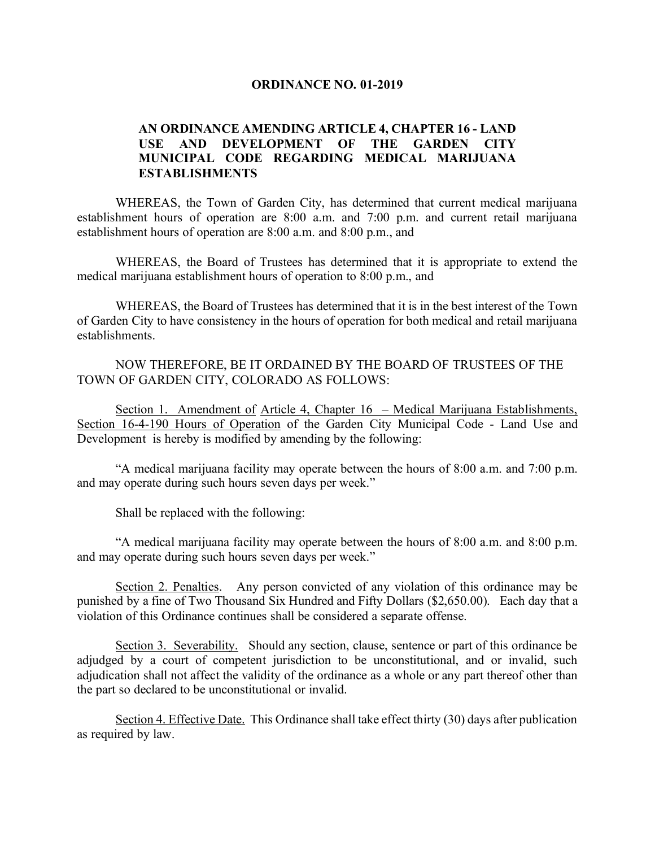## **ORDINANCE NO. 01-2019**

## **AN ORDINANCE AMENDING ARTICLE 4, CHAPTER 16 - LAND USE AND DEVELOPMENT OF THE GARDEN CITY MUNICIPAL CODE REGARDING MEDICAL MARIJUANA ESTABLISHMENTS**

WHEREAS, the Town of Garden City, has determined that current medical marijuana establishment hours of operation are 8:00 a.m. and 7:00 p.m. and current retail marijuana establishment hours of operation are 8:00 a.m. and 8:00 p.m., and

WHEREAS, the Board of Trustees has determined that it is appropriate to extend the medical marijuana establishment hours of operation to 8:00 p.m., and

WHEREAS, the Board of Trustees has determined that it is in the best interest of the Town of Garden City to have consistency in the hours of operation for both medical and retail marijuana establishments.

NOW THEREFORE, BE IT ORDAINED BY THE BOARD OF TRUSTEES OF THE TOWN OF GARDEN CITY, COLORADO AS FOLLOWS:

Section 1. Amendment of Article 4, Chapter 16 - Medical Marijuana Establishments, Section 16-4-190 Hours of Operation of the Garden City Municipal Code - Land Use and Development is hereby is modified by amending by the following:

"A medical marijuana facility may operate between the hours of 8:00 a.m. and 7:00 p.m. and may operate during such hours seven days per week."

Shall be replaced with the following:

"A medical marijuana facility may operate between the hours of 8:00 a.m. and 8:00 p.m. and may operate during such hours seven days per week."

Section 2. Penalties. Any person convicted of any violation of this ordinance may be punished by a fine of Two Thousand Six Hundred and Fifty Dollars (\$2,650.00). Each day that a violation of this Ordinance continues shall be considered a separate offense.

Section 3. Severability. Should any section, clause, sentence or part of this ordinance be adjudged by a court of competent jurisdiction to be unconstitutional, and or invalid, such adjudication shall not affect the validity of the ordinance as a whole or any part thereof other than the part so declared to be unconstitutional or invalid.

Section 4. Effective Date. This Ordinance shall take effect thirty (30) days after publication as required by law.